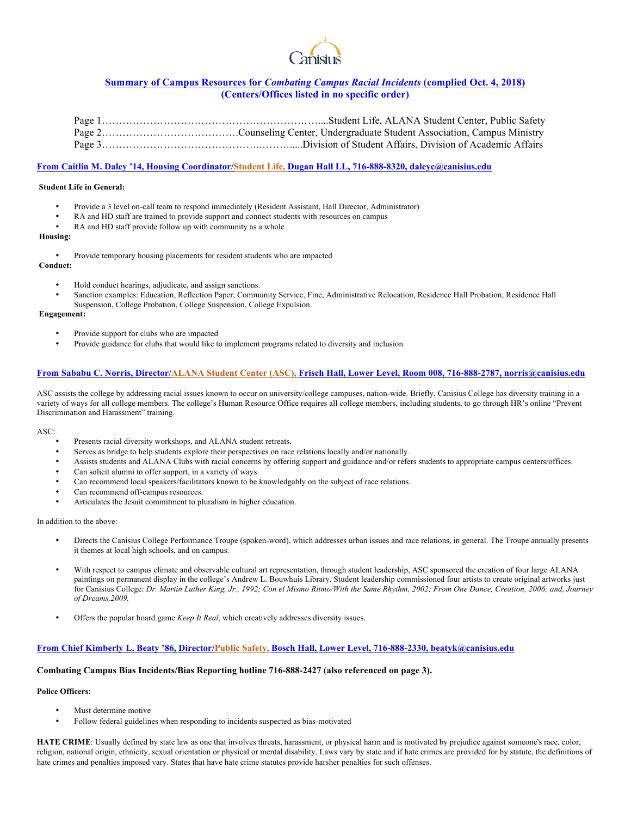

# **Summary of Campus Resources for** *Combating Campus Racial Incidents* **(complied Oct. 4, 2018) (Centers/Offices listed in no specific order)**

## **From Caitlin M. Daley '14, Housing Coordinator/Student Life, Dugan Hall LL, 716-888-8320, daleyc@canisius.edu**

#### **Student Life in General:**

- Provide a 3 level on-call team to respond immediately (Resident Assistant, Hall Director, Administrator)
- RA and HD staff are trained to provide support and connect students with resources on campus
- RA and HD staff provide follow up with community as a whole

#### **Housing:**

• Provide temporary housing placements for resident students who are impacted

**Conduct:**

- Hold conduct hearings, adjudicate, and assign sanctions.
- Sanction examples: Education, Reflection Paper, Community Service, Fine, Administrative Relocation, Residence Hall Probation, Residence Hall Suspension, College Probation, College Suspension, College Expulsion.

#### **Engagement:**

- Provide support for clubs who are impacted
- Provide guidance for clubs that would like to implement programs related to diversity and inclusion

## **From Sababu C. Norris, Director/ALANA Student Center (ASC), Frisch Hall, Lower Level, Room 008, 716-888-2787, norris@canisius.edu**

ASC assists the college by addressing racial issues known to occur on university/college campuses, nation-wide. Briefly, Canisius College has diversity training in a variety of ways for all college members. The college's Human Resource Office requires all college members, including students, to go through HR's online "Prevent Discrimination and Harassment" training.

#### ASC:

- Presents racial diversity workshops, and ALANA student retreats.
- Serves as bridge to help students explore their perspectives on race relations locally and/or nationally.
- Assists students and ALANA Clubs with racial concerns by offering support and guidance and/or refers students to appropriate campus centers/offices.
- Can solicit alumni to offer support, in a variety of ways.
- Can recommend local speakers/facilitators known to be knowledgably on the subject of race relations.
- Can recommend off-campus resources.
- Articulates the Jesuit commitment to pluralism in higher education.

#### In addition to the above:

- Directs the Canisius College Performance Troupe (spoken-word), which addresses urban issues and race relations, in general. The Troupe annually presents it themes at local high schools, and on campus.
- With respect to campus climate and observable cultural art representation, through student leadership, ASC sponsored the creation of four large ALANA paintings on permanent display in the college's Andrew L. Bouwhuis Library. Student leadership commissioned four artists to create original artworks just for Canisius College: *Dr. Martin Luther King, Jr., 1992; Con el Mismo Ritmo/With the Same Rhythm, 2002; From One Dance, Creation, 2006; and, Journey of Dreams,2009.*
- Offers the popular board game *Keep It Real*, which creatively addresses diversity issues.

#### **From Chief Kimberly L. Beaty '86, Director/Public Safety, Bosch Hall, Lower Level, 716-888-2330, beatyk@canisius.edu**

### **Combating Campus Bias Incidents/Bias Reporting hotline 716-888-2427 (also referenced on page 3).**

#### **Police Officers:**

- Must determine motive
- Follow federal guidelines when responding to incidents suspected as bias-motivated

**HATE CRIME**: Usually defined by state law as one that involves threats, harassment, or physical harm and is motivated by prejudice against someone's race, color, religion, national origin, ethnicity, sexual orientation or physical or mental disability. Laws vary by state and if hate crimes are provided for by statute, the definitions of hate crimes and penalties imposed vary. States that have hate crime statutes provide harsher penalties for such offenses.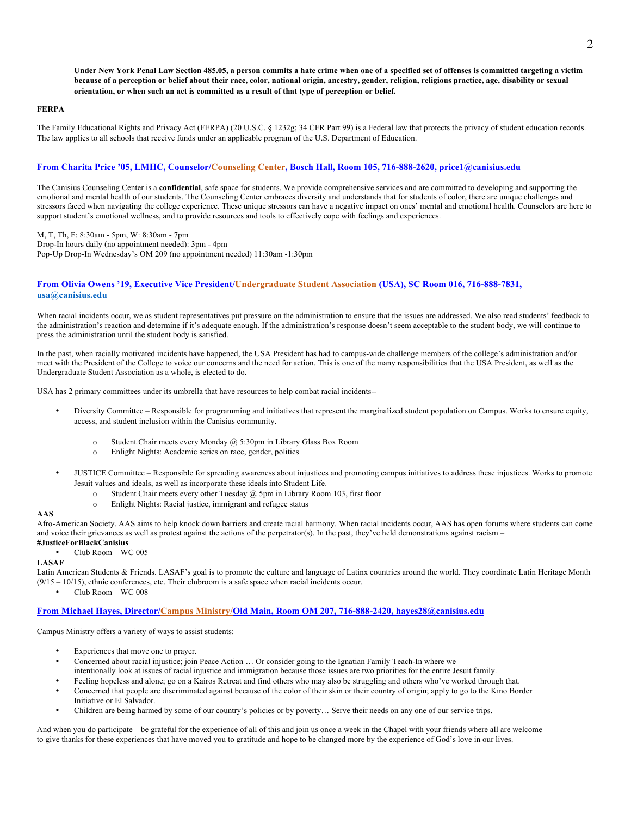**Under New York Penal Law Section 485.05, a person commits a hate crime when one of a specified set of offenses is committed targeting a victim because of a perception or belief about their race, color, national origin, ancestry, gender, religion, religious practice, age, disability or sexual orientation, or when such an act is committed as a result of that type of perception or belief.**

#### **FERPA**

The Family Educational Rights and Privacy Act (FERPA) (20 U.S.C. § 1232g; 34 CFR Part 99) is a Federal law that protects the privacy of student education records. The law applies to all schools that receive funds under an applicable program of the U.S. Department of Education.

## **From Charita Price '05, LMHC, Counselor/Counseling Center, Bosch Hall, Room 105, 716-888-2620, price1@canisius.edu**

The Canisius Counseling Center is a **confidential**, safe space for students. We provide comprehensive services and are committed to developing and supporting the emotional and mental health of our students. The Counseling Center embraces diversity and understands that for students of color, there are unique challenges and stressors faced when navigating the college experience. These unique stressors can have a negative impact on ones' mental and emotional health. Counselors are here to support student's emotional wellness, and to provide resources and tools to effectively cope with feelings and experiences.

M, T, Th, F: 8:30am - 5pm, W: 8:30am - 7pm Drop-In hours daily (no appointment needed): 3pm - 4pm Pop-Up Drop-In Wednesday's OM 209 (no appointment needed) 11:30am -1:30pm

## **From Olivia Owens '19, Executive Vice President/Undergraduate Student Association (USA), SC Room 016, 716-888-7831, usa@canisius.edu**

When racial incidents occur, we as student representatives put pressure on the administration to ensure that the issues are addressed. We also read students' feedback to the administration's reaction and determine if it's adequate enough. If the administration's response doesn't seem acceptable to the student body, we will continue to press the administration until the student body is satisfied.

In the past, when racially motivated incidents have happened, the USA President has had to campus-wide challenge members of the college's administration and/or meet with the President of the College to voice our concerns and the need for action. This is one of the many responsibilities that the USA President, as well as the Undergraduate Student Association as a whole, is elected to do.

USA has 2 primary committees under its umbrella that have resources to help combat racial incidents--

- Diversity Committee Responsible for programming and initiatives that represent the marginalized student population on Campus. Works to ensure equity, access, and student inclusion within the Canisius community.
	- o Student Chair meets every Monday @ 5:30pm in Library Glass Box Room
	- o Enlight Nights: Academic series on race, gender, politics
- JUSTICE Committee Responsible for spreading awareness about injustices and promoting campus initiatives to address these injustices. Works to promote Jesuit values and ideals, as well as incorporate these ideals into Student Life.
	- $\circ$  Student Chair meets every other Tuesday  $\omega$  5pm in Library Room 103, first floor
	- o Enlight Nights: Racial justice, immigrant and refugee status

## **AAS**

Afro-American Society. AAS aims to help knock down barriers and create racial harmony. When racial incidents occur, AAS has open forums where students can come and voice their grievances as well as protest against the actions of the perpetrator(s). In the past, they've held demonstrations against racism – **#JusticeForBlackCanisius**

• Club Room – WC 005

## **LASAF**

Latin American Students & Friends. LASAF's goal is to promote the culture and language of Latinx countries around the world. They coordinate Latin Heritage Month  $(9/15 - 10/15)$ , ethnic conferences, etc. Their clubroom is a safe space when racial incidents occur.

• Club Room – WC 008

## **From Michael Hayes, Director/Campus Ministry/Old Main, Room OM 207, 716-888-2420, hayes28@canisius.edu**

Campus Ministry offers a variety of ways to assist students:

- Experiences that move one to prayer.
- Concerned about racial injustice; join Peace Action … Or consider going to the Ignatian Family Teach-In where we intentionally look at issues of racial injustice and immigration because those issues are two priorities for the entire Jesuit family.
- Feeling hopeless and alone; go on a Kairos Retreat and find others who may also be struggling and others who've worked through that.
- Concerned that people are discriminated against because of the color of their skin or their country of origin; apply to go to the Kino Border
- Initiative or El Salvador. • Children are being harmed by some of our country's policies or by poverty… Serve their needs on any one of our service trips.

And when you do participate—be grateful for the experience of all of this and join us once a week in the Chapel with your friends where all are welcome to give thanks for these experiences that have moved you to gratitude and hope to be changed more by the experience of God's love in our lives.